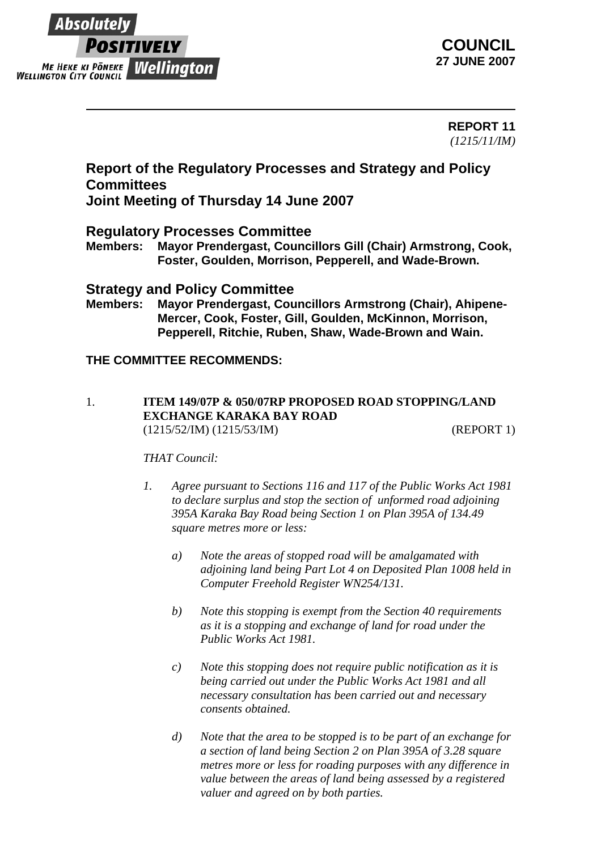

**COUNCIL 27 JUNE 2007**

> **REPORT 11** *(1215/11/IM)*

# **Report of the Regulatory Processes and Strategy and Policy Committees**

**Joint Meeting of Thursday 14 June 2007**

# **Regulatory Processes Committee**

**Members: Mayor Prendergast, Councillors Gill (Chair) Armstrong, Cook, Foster, Goulden, Morrison, Pepperell, and Wade-Brown.** 

## **Strategy and Policy Committee**

**Members: Mayor Prendergast, Councillors Armstrong (Chair), Ahipene-Mercer, Cook, Foster, Gill, Goulden, McKinnon, Morrison, Pepperell, Ritchie, Ruben, Shaw, Wade-Brown and Wain.**

## **THE COMMITTEE RECOMMENDS:**

1. **ITEM 149/07P & 050/07RP PROPOSED ROAD STOPPING/LAND EXCHANGE KARAKA BAY ROAD** (1215/52/IM) (1215/53/IM) (REPORT 1)

#### *THAT Council:*

- *1. Agree pursuant to Sections 116 and 117 of the Public Works Act 1981 to declare surplus and stop the section of unformed road adjoining 395A Karaka Bay Road being Section 1 on Plan 395A of 134.49 square metres more or less:* 
	- *a) Note the areas of stopped road will be amalgamated with adjoining land being Part Lot 4 on Deposited Plan 1008 held in Computer Freehold Register WN254/131.*
	- *b) Note this stopping is exempt from the Section 40 requirements as it is a stopping and exchange of land for road under the Public Works Act 1981.*
	- *c) Note this stopping does not require public notification as it is being carried out under the Public Works Act 1981 and all necessary consultation has been carried out and necessary consents obtained.*
	- *d) Note that the area to be stopped is to be part of an exchange for a section of land being Section 2 on Plan 395A of 3.28 square metres more or less for roading purposes with any difference in value between the areas of land being assessed by a registered valuer and agreed on by both parties.*